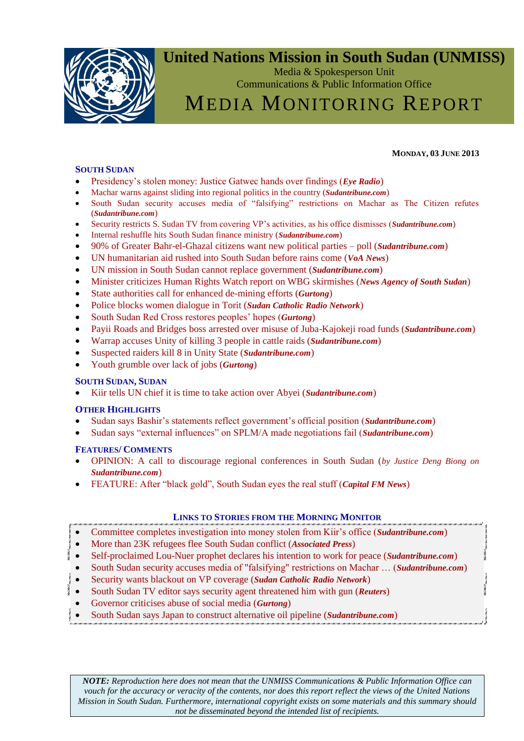

### **United Nations Mission in South Sudan (UNMISS)**

Media & Spokesperson Unit Communications & Public Information Office

## MEDIA MONITORING REPORT

#### <span id="page-0-0"></span>**SOUTH SUDAN**

- [Presidency's stolen money: Justice Gatwec hands over findings \(](#page-1-0)*Eye Radio*)
- [Machar warns against sliding into regional politics in the country \(](#page-1-1)*Sudantribune.com*)
- [South Sudan security accuses media of "falsifying" restrictions on Machar as The Citizen refutes](#page-1-1)  (*[Sudantribune.com](#page-1-1)*)
- [Security restricts S. Sudan TV from covering VP's activities, as his office dismisses \(](#page-1-1)*Sudantribune.com*)
- [Internal reshuffle hits South Sudan finance ministry \(](#page-5-0)*Sudantribune.com*)
- [90% of Greater Bahr-el-Ghazal citizens want new political parties –](#page-5-1) poll (*Sudantribune.com*)
- [UN humanitarian aid rushed into South Sudan before rains come \(](#page-6-0)*VoA News*)
- [UN mission in South Sudan cannot replace government \(](#page-5-2)*Sudantribune.com*)
- [Minister criticizes Human Rights Watch report on WBG skirmishes \(](#page-5-2)*News Agency of South Sudan*)
- [State authorities call for enhanced de-mining efforts \(](#page-1-1)*Gurtong*)
- [Police blocks women dialogue in Torit \(](#page-9-0)*Sudan Catholic Radio Network*)
- [South Sudan Red Cross restores peoples' hopes \(](#page-1-1)*Gurtong*)
- [Payii Roads and Bridges boss arrested over misuse of Juba-Kajokeji road funds \(](#page-9-1)*Sudantribune.com*)
- [Warrap accuses Unity of killing 3 people in cattle raids \(](#page-9-1)*Sudantribune.com*)
- [Suspected raiders kill 8 in Unity State \(](#page-10-0)*Sudantribune.com*)
- [Youth grumble over lack of jobs \(](#page-9-1)*Gurtong*)

#### **SOUTH SUDAN, SUDAN**

[Kiir tells UN chief it is time to take action over Abyei \(](#page-12-0)*Sudantribune.com*)

#### **OTHER HIGHLIGHTS**

- [Sudan says Bashir's statements reflect government's official position \(](#page-12-1)*Sudantribune.com*)
- [Sudan says "external influences" on SPLM/A made negotiations fail \(](#page-14-0)*Sudantribune.com*)

#### **FEATURES/ COMMENTS**

- [OPINION: A call to discourage regional conferences in South Sudan \(](#page-14-1)*by Justice Deng Biong on [Sudantribune.com](#page-14-1)*)
- [FEATURE: After "black gold", South Sudan eyes the real stuff \(](#page-12-1)*Capital FM News*)

#### **LINKS TO STORIES FROM THE MORNING MONITOR**

- [Committee completes investigation into money stolen from Kiir's office \(](http://www.sudantribune.com/spip.php?article46789)*Sudantribune.com*)
- [More than 23K refugees flee South Sudan conflict \(](http://abcnews.go.com/International/wireStory/23k-refugees-flee-south-sudan-conflict-19296168)*Associated Press*)
- [Self-proclaimed Lou-Nuer prophet declares his intention to work for peace \(](http://www.sudantribune.com/spip.php?article46779)*Sudantribune.com*)
- [South Sudan security accuses media of "falsifying" restrictions on Machar … \(](http://www.sudantribune.com/spip.php?article46793)*Sudantribune.com*)
- [Security wants blackout on VP coverage \(](http://catholicradionetwork.org/index.php?option=com_content&view=article&id=10478:security-wants-blackout-on-vp-coverage&catid=2:south-sudan&Itemid=84)*Sudan Catholic Radio Network*)
- [South Sudan TV editor says security agent threatened him with gun \(](http://www.gurtong.net/ECM/Editorial/tabid/124/ID/11405/Default.aspx)*Reuters*)
- [Governor criticises abuse of social media \(](http://www.gurtong.net/ECM/Editorial/tabid/124/ID/11405/Default.aspx)*Gurtong*)
- [South Sudan says Japan to construct alternative oil pipeline \(](http://www.sudantribune.com/spip.php?article46786)*Sudantribune.com*)

*NOTE: Reproduction here does not mean that the UNMISS Communications & Public Information Office can vouch for the accuracy or veracity of the contents, nor does this report reflect the views of the United Nations Mission in South Sudan. Furthermore, international copyright exists on some materials and this summary should not be disseminated beyond the intended list of recipients.*

#### **MONDAY, 03 JUNE 2013**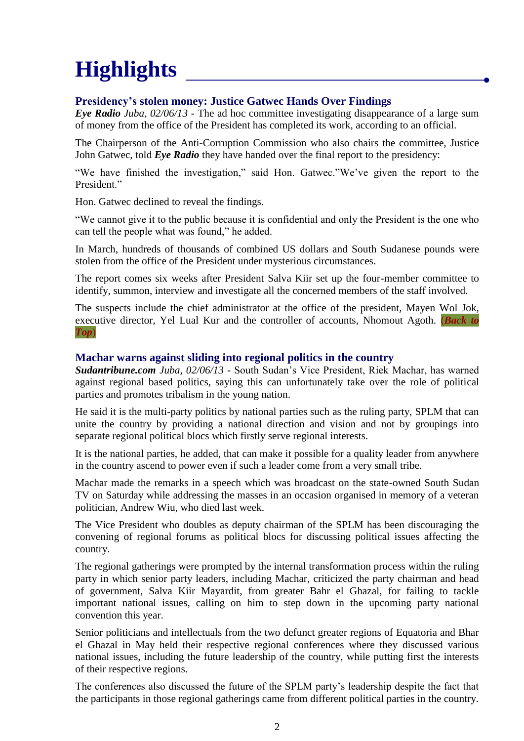# **Highlights**

#### <span id="page-1-0"></span>**Presidency's stolen money: Justice Gatwec Hands Over Findings**

*Eye Radio Juba, 02/06/13* - The ad hoc committee investigating disappearance of a large sum of money from the office of the President has completed its work, according to an official.

The Chairperson of the Anti-Corruption Commission who also chairs the committee, Justice John Gatwec, told *Eye Radio* they have handed over the final report to the presidency:

"We have finished the investigation," said Hon. Gatwec."We've given the report to the President."

Hon. Gatwec declined to reveal the findings.

"We cannot give it to the public because it is confidential and only the President is the one who can tell the people what was found," he added.

In March, hundreds of thousands of combined US dollars and South Sudanese pounds were stolen from the office of the President under mysterious circumstances.

The report comes six weeks after President Salva Kiir set up the four-member committee to identify, summon, interview and investigate all the concerned members of the staff involved.

The suspects include the chief administrator at the office of the president, Mayen Wol Jok, executive director, Yel Lual Kur and the controller of accounts, Nhomout Agoth. (*[Back](03-Jun-2013%20-%20Media%20Monitor.doc#_top) to [Top](03-Jun-2013%20-%20Media%20Monitor.doc#_top)*)

#### <span id="page-1-1"></span>**Machar warns against sliding into regional politics in the country**

*Sudantribune.com Juba, 02/06/13* - South Sudan's Vice President, Riek Machar, has warned against regional based politics, saying this can unfortunately take over the role of political parties and promotes tribalism in the young nation.

He said it is the multi-party politics by national parties such as the ruling party, SPLM that can unite the country by providing a national direction and vision and not by groupings into separate regional political blocs which firstly serve regional interests.

It is the national parties, he added, that can make it possible for a quality leader from anywhere in the country ascend to power even if such a leader come from a very small tribe.

Machar made the remarks in a speech which was broadcast on the state-owned South Sudan TV on Saturday while addressing the masses in an occasion organised in memory of a veteran politician, Andrew Wiu, who died last week.

The Vice President who doubles as deputy chairman of the SPLM has been discouraging the convening of regional forums as political blocs for discussing political issues affecting the country.

The regional gatherings were prompted by the internal transformation process within the ruling party in which senior party leaders, including Machar, criticized the party chairman and head of government, Salva Kiir Mayardit, from greater Bahr el Ghazal, for failing to tackle important national issues, calling on him to step down in the upcoming party national convention this year.

Senior politicians and intellectuals from the two defunct greater regions of Equatoria and Bhar el Ghazal in May held their respective regional conferences where they discussed various national issues, including the future leadership of the country, while putting first the interests of their respective regions.

The conferences also discussed the future of the SPLM party's leadership despite the fact that the participants in those regional gatherings came from different political parties in the country.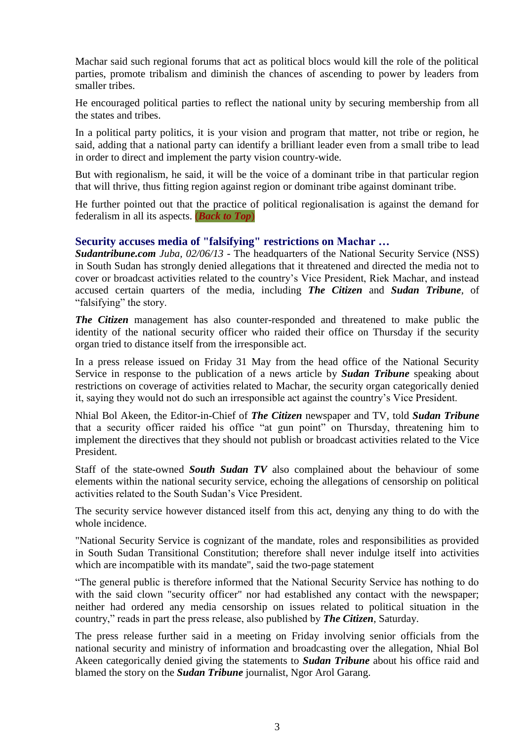Machar said such regional forums that act as political blocs would kill the role of the political parties, promote tribalism and diminish the chances of ascending to power by leaders from smaller tribes.

He encouraged political parties to reflect the national unity by securing membership from all the states and tribes.

In a political party politics, it is your vision and program that matter, not tribe or region, he said, adding that a national party can identify a brilliant leader even from a small tribe to lead in order to direct and implement the party vision country-wide.

But with regionalism, he said, it will be the voice of a dominant tribe in that particular region that will thrive, thus fitting region against region or dominant tribe against dominant tribe.

He further pointed out that the practice of political regionalisation is against the demand for federalism in all its aspects. (*[Back to Top](03-Jun-2013%20-%20Media%20Monitor.doc#_top)*)

#### **Security accuses media of "falsifying" restrictions on Machar …**

*Sudantribune.com Juba, 02/06/13* - The headquarters of the National Security Service (NSS) in South Sudan has strongly denied allegations that it threatened and directed the media not to cover or broadcast activities related to the country's Vice President, Riek Machar, and instead accused certain quarters of the media, including *The Citizen* and *Sudan Tribune*, of "falsifying" the story.

*The Citizen* management has also counter-responded and threatened to make public the identity of the national security officer who raided their office on Thursday if the security organ tried to distance itself from the irresponsible act.

In a press release issued on Friday 31 May from the head office of the National Security Service in response to the publication of a news article by *Sudan Tribune* speaking about restrictions on coverage of activities related to Machar, the security organ categorically denied it, saying they would not do such an irresponsible act against the country's Vice President.

Nhial Bol Akeen, the Editor-in-Chief of *The Citizen* newspaper and TV, told *Sudan Tribune* that a security officer raided his office "at gun point" on Thursday, threatening him to implement the directives that they should not publish or broadcast activities related to the Vice President.

Staff of the state-owned *South Sudan TV* also complained about the behaviour of some elements within the national security service, echoing the allegations of censorship on political activities related to the South Sudan's Vice President.

The security service however distanced itself from this act, denying any thing to do with the whole incidence.

"National Security Service is cognizant of the mandate, roles and responsibilities as provided in South Sudan Transitional Constitution; therefore shall never indulge itself into activities which are incompatible with its mandate", said the two-page statement

"The general public is therefore informed that the National Security Service has nothing to do with the said clown "security officer" nor had established any contact with the newspaper; neither had ordered any media censorship on issues related to political situation in the country," reads in part the press release, also published by *The Citizen*, Saturday.

The press release further said in a meeting on Friday involving senior officials from the national security and ministry of information and broadcasting over the allegation, Nhial Bol Akeen categorically denied giving the statements to *Sudan Tribune* about his office raid and blamed the story on the *Sudan Tribune* journalist, Ngor Arol Garang.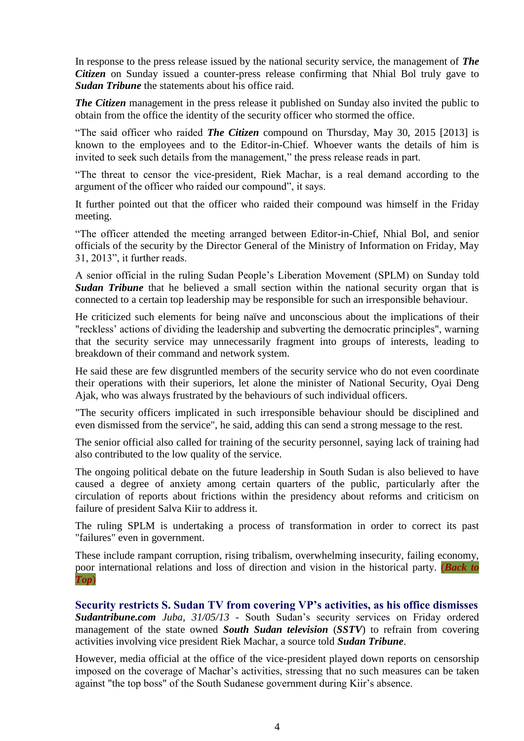In response to the press release issued by the national security service, the management of *The Citizen* on Sunday issued a counter-press release confirming that Nhial Bol truly gave to *Sudan Tribune* the statements about his office raid.

*The Citizen* management in the press release it published on Sunday also invited the public to obtain from the office the identity of the security officer who stormed the office.

"The said officer who raided *The Citizen* compound on Thursday, May 30, 2015 [2013] is known to the employees and to the Editor-in-Chief. Whoever wants the details of him is invited to seek such details from the management," the press release reads in part.

"The threat to censor the vice-president, Riek Machar, is a real demand according to the argument of the officer who raided our compound", it says.

It further pointed out that the officer who raided their compound was himself in the Friday meeting.

"The officer attended the meeting arranged between Editor-in-Chief, Nhial Bol, and senior officials of the security by the Director General of the Ministry of Information on Friday, May 31, 2013", it further reads.

A senior official in the ruling Sudan People's Liberation Movement (SPLM) on Sunday told **Sudan Tribune** that he believed a small section within the national security organ that is connected to a certain top leadership may be responsible for such an irresponsible behaviour.

He criticized such elements for being naïve and unconscious about the implications of their "reckless' actions of dividing the leadership and subverting the democratic principles", warning that the security service may unnecessarily fragment into groups of interests, leading to breakdown of their command and network system.

He said these are few disgruntled members of the security service who do not even coordinate their operations with their superiors, let alone the minister of National Security, Oyai Deng Ajak, who was always frustrated by the behaviours of such individual officers.

"The security officers implicated in such irresponsible behaviour should be disciplined and even dismissed from the service", he said, adding this can send a strong message to the rest.

The senior official also called for training of the security personnel, saying lack of training had also contributed to the low quality of the service.

The ongoing political debate on the future leadership in South Sudan is also believed to have caused a degree of anxiety among certain quarters of the public, particularly after the circulation of reports about frictions within the presidency about reforms and criticism on failure of president Salva Kiir to address it.

The ruling SPLM is undertaking a process of transformation in order to correct its past "failures" even in government.

These include rampant corruption, rising tribalism, overwhelming insecurity, failing economy, poor international relations and loss of direction and vision in the historical party. (*[Back to](03-Jun-2013%20-%20Media%20Monitor.doc#_top)  [Top](03-Jun-2013%20-%20Media%20Monitor.doc#_top)*)

**Security restricts S. Sudan TV from covering VP's activities, as his office dismisses** *Sudantribune.com Juba, 31/05/13* - South Sudan's security services on Friday ordered management of the state owned *South Sudan television* (*SSTV*) to refrain from covering activities involving vice president Riek Machar, a source told *Sudan Tribune*.

However, media official at the office of the vice-president played down reports on censorship imposed on the coverage of Machar's activities, stressing that no such measures can be taken against "the top boss" of the South Sudanese government during Kiir's absence.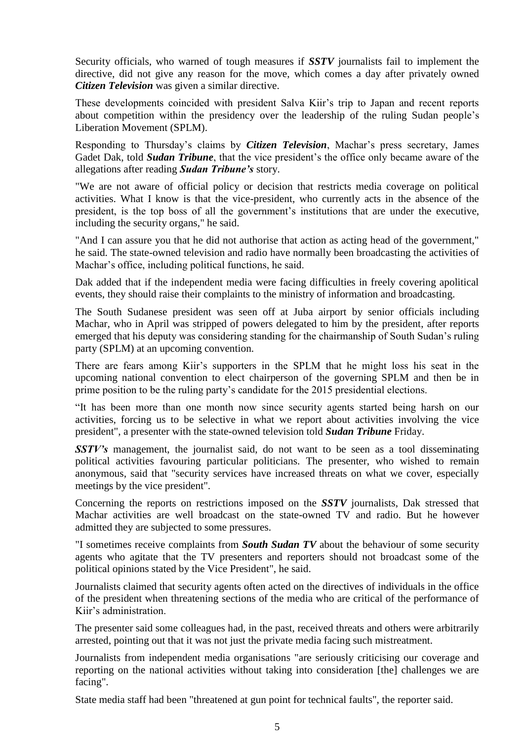Security officials, who warned of tough measures if *SSTV* journalists fail to implement the directive, did not give any reason for the move, which comes a day after privately owned *Citizen Television* was given a similar directive.

These developments coincided with president Salva Kiir's trip to Japan and recent reports about competition within the presidency over the leadership of the ruling Sudan people's Liberation Movement (SPLM).

Responding to Thursday's claims by *Citizen Television*, Machar's press secretary, James Gadet Dak, told *Sudan Tribune*, that the vice president's the office only became aware of the allegations after reading *Sudan Tribune's* story.

"We are not aware of official policy or decision that restricts media coverage on political activities. What I know is that the vice-president, who currently acts in the absence of the president, is the top boss of all the government's institutions that are under the executive, including the security organs," he said.

"And I can assure you that he did not authorise that action as acting head of the government," he said. The state-owned television and radio have normally been broadcasting the activities of Machar's office, including political functions, he said.

Dak added that if the independent media were facing difficulties in freely covering apolitical events, they should raise their complaints to the ministry of information and broadcasting.

The South Sudanese president was seen off at Juba airport by senior officials including Machar, who in April was [stripped of powers delegated to him by the president,](http://www.sudantribune.com/spip.php?article46237) after reports emerged that his deputy was considering standing for the chairmanship of South Sudan's ruling party (SPLM) at an upcoming convention.

There are fears among Kiir's supporters in the SPLM that he might loss his seat in the upcoming national convention to elect chairperson of the governing SPLM and then be in prime position to be the ruling party's candidate for the 2015 presidential elections.

"It has been more than one month now since security agents started being harsh on our activities, forcing us to be selective in what we report about activities involving the vice president", a presenter with the state-owned television told *Sudan Tribune* Friday.

*SSTV's* management, the journalist said, do not want to be seen as a tool disseminating political activities favouring particular politicians. The presenter, who wished to remain anonymous, said that "security services have increased threats on what we cover, especially meetings by the vice president".

Concerning the reports on restrictions imposed on the *SSTV* journalists, Dak stressed that Machar activities are well broadcast on the state-owned TV and radio. But he however admitted they are subjected to some pressures.

"I sometimes receive complaints from *South Sudan TV* about the behaviour of some security agents who agitate that the TV presenters and reporters should not broadcast some of the political opinions stated by the Vice President", he said.

Journalists claimed that security agents often acted on the directives of individuals in the office of the president when threatening sections of the media who are critical of the performance of Kiir's administration.

The presenter said some colleagues had, in the past, received threats and others were arbitrarily arrested, pointing out that it was not just the private media facing such mistreatment.

Journalists from independent media organisations "are seriously criticising our coverage and reporting on the national activities without taking into consideration [the] challenges we are facing".

State media staff had been "threatened at gun point for technical faults", the reporter said.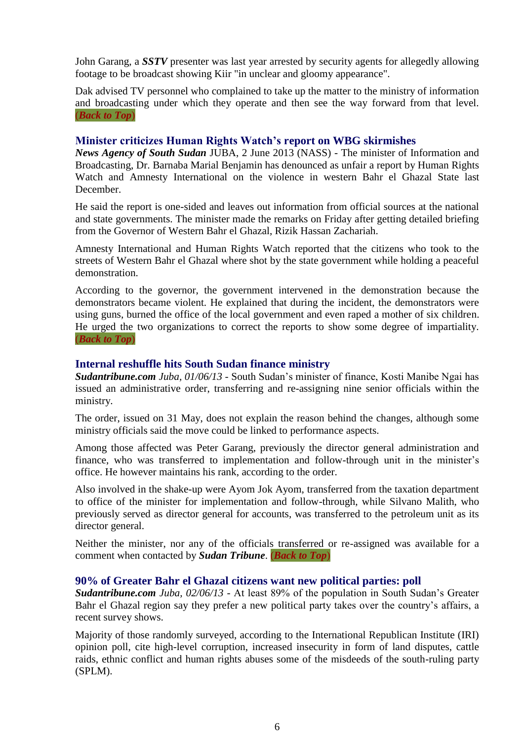John Garang, a *SSTV* presenter was last year arrested by security agents for allegedly allowing footage to be broadcast showing Kiir "in unclear and gloomy appearance".

Dak advised TV personnel who complained to take up the matter to the ministry of information and broadcasting under which they operate and then see the way forward from that level. (*[Back to Top](03-Jun-2013%20-%20Media%20Monitor.doc#_top)*)

#### <span id="page-5-2"></span>**Minister criticizes Human Rights Watch's report on WBG skirmishes**

*News Agency of South Sudan JUBA, 2 June 2013* (NASS) - The minister of Information and Broadcasting, Dr. Barnaba Marial Benjamin has denounced as unfair a report by Human Rights Watch and Amnesty International on the violence in western Bahr el Ghazal State last December.

He said the report is one-sided and leaves out information from official sources at the national and state governments. The minister made the remarks on Friday after getting detailed briefing from the Governor of Western Bahr el Ghazal, Rizik Hassan Zachariah.

Amnesty International and Human Rights Watch reported that the citizens who took to the streets of Western Bahr el Ghazal where shot by the state government while holding a peaceful demonstration.

According to the governor, the government intervened in the demonstration because the demonstrators became violent. He explained that during the incident, the demonstrators were using guns, burned the office of the local government and even raped a mother of six children. He urged the two organizations to correct the reports to show some degree of impartiality. (*[Back to Top](03-Jun-2013%20-%20Media%20Monitor.doc#_top)*)

#### <span id="page-5-0"></span>**Internal reshuffle hits South Sudan finance ministry**

*Sudantribune.com Juba, 01/06/13* - South Sudan's minister of finance, Kosti Manibe Ngai has issued an administrative order, transferring and re-assigning nine senior officials within the ministry.

The order, issued on 31 May, does not explain the reason behind the changes, although some ministry officials said the move could be linked to performance aspects.

Among those affected was Peter Garang, previously the director general administration and finance, who was transferred to implementation and follow-through unit in the minister's office. He however maintains his rank, according to the order.

Also involved in the shake-up were Ayom Jok Ayom, transferred from the taxation department to office of the minister for implementation and follow-through, while Silvano Malith, who previously served as director general for accounts, was transferred to the petroleum unit as its director general.

Neither the minister, nor any of the officials transferred or re-assigned was available for a comment when contacted by *Sudan Tribune*. (*[Back to Top](03-Jun-2013%20-%20Media%20Monitor.doc#_top)*)

#### <span id="page-5-1"></span>**90% of Greater Bahr el Ghazal citizens want new political parties: poll**

*Sudantribune.com Juba, 02/06/13* - At least 89% of the population in South Sudan's Greater Bahr el Ghazal region say they prefer a new political party takes over the country's affairs, a recent survey shows.

Majority of those randomly surveyed, according to the International Republican Institute (IRI) opinion poll, cite high-level corruption, increased insecurity in form of land disputes, cattle raids, ethnic conflict and human rights abuses some of the misdeeds of the south-ruling party (SPLM).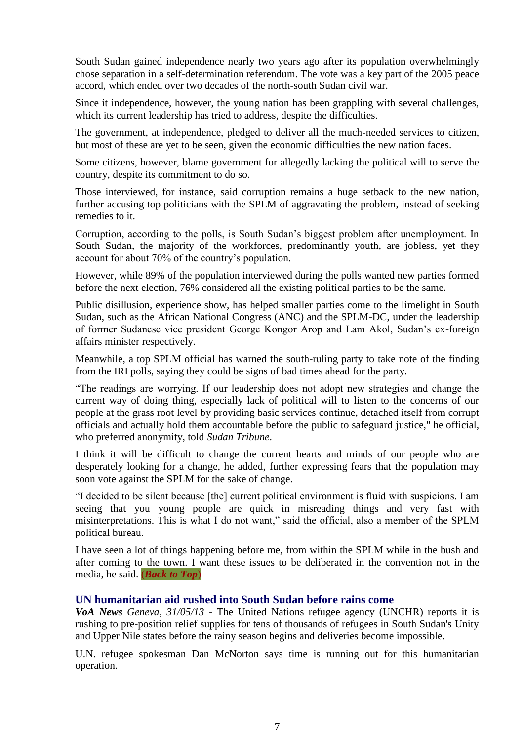South Sudan gained independence nearly two years ago after its population overwhelmingly chose separation in a self-determination referendum. The vote was a key part of the 2005 peace accord, which ended over two decades of the north-south Sudan civil war.

Since it independence, however, the young nation has been grappling with several challenges, which its current leadership has tried to address, despite the difficulties.

The government, at independence, pledged to deliver all the much-needed services to citizen, but most of these are yet to be seen, given the economic difficulties the new nation faces.

Some citizens, however, blame government for allegedly lacking the political will to serve the country, despite its commitment to do so.

Those interviewed, for instance, said corruption remains a huge setback to the new nation, further accusing top politicians with the SPLM of aggravating the problem, instead of seeking remedies to it.

Corruption, according to the polls, is South Sudan's biggest problem after unemployment. In South Sudan, the majority of the workforces, predominantly youth, are jobless, yet they account for about 70% of the country's population.

However, while 89% of the population interviewed during the polls wanted new parties formed before the next election, 76% considered all the existing political parties to be the same.

Public disillusion, experience show, has helped smaller parties come to the limelight in South Sudan, such as the African National Congress (ANC) and the SPLM-DC, under the leadership of former Sudanese vice president George Kongor Arop and Lam Akol, Sudan's ex-foreign affairs minister respectively.

Meanwhile, a top SPLM official has warned the south-ruling party to take note of the finding from the IRI polls, saying they could be signs of bad times ahead for the party.

"The readings are worrying. If our leadership does not adopt new strategies and change the current way of doing thing, especially lack of political will to listen to the concerns of our people at the grass root level by providing basic services continue, detached itself from corrupt officials and actually hold them accountable before the public to safeguard justice," he official, who preferred anonymity, told *Sudan Tribune*.

I think it will be difficult to change the current hearts and minds of our people who are desperately looking for a change, he added, further expressing fears that the population may soon vote against the SPLM for the sake of change.

"I decided to be silent because [the] current political environment is fluid with suspicions. I am seeing that you young people are quick in misreading things and very fast with misinterpretations. This is what I do not want," said the official, also a member of the SPLM political bureau.

I have seen a lot of things happening before me, from within the SPLM while in the bush and after coming to the town. I want these issues to be deliberated in the convention not in the media, he said. (*[Back to Top](03-Jun-2013%20-%20Media%20Monitor.doc#_top)*)

#### <span id="page-6-0"></span>**UN humanitarian aid rushed into South Sudan before rains come**

*VoA News Geneva, 31/05/13* - The United Nations refugee agency (UNCHR) reports it is rushing to pre-position relief supplies for tens of thousands of refugees in South Sudan's Unity and Upper Nile states before the rainy season begins and deliveries become impossible.

U.N. refugee spokesman Dan McNorton says time is running out for this humanitarian operation.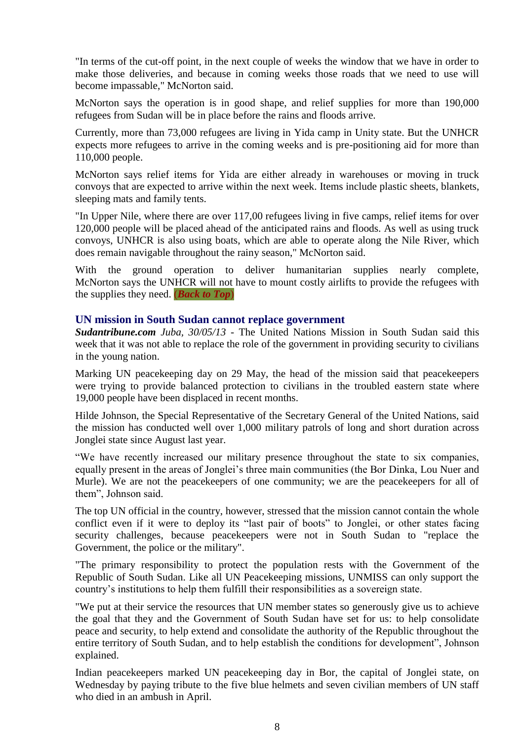"In terms of the cut-off point, in the next couple of weeks the window that we have in order to make those deliveries, and because in coming weeks those roads that we need to use will become impassable," McNorton said.

McNorton says the operation is in good shape, and relief supplies for more than 190,000 refugees from Sudan will be in place before the rains and floods arrive.

Currently, more than 73,000 refugees are living in Yida camp in Unity state. But the UNHCR expects more refugees to arrive in the coming weeks and is pre-positioning aid for more than 110,000 people.

McNorton says relief items for Yida are either already in warehouses or moving in truck convoys that are expected to arrive within the next week. Items include plastic sheets, blankets, sleeping mats and family tents.

"In Upper Nile, where there are over 117,00 refugees living in five camps, relief items for over 120,000 people will be placed ahead of the anticipated rains and floods. As well as using truck convoys, UNHCR is also using boats, which are able to operate along the Nile River, which does remain navigable throughout the rainy season," McNorton said.

With the ground operation to deliver humanitarian supplies nearly complete, McNorton says the UNHCR will not have to mount costly airlifts to provide the refugees with the supplies they need. (*[Back to Top](03-Jun-2013%20-%20Media%20Monitor.doc#_top)*)

#### **UN mission in South Sudan cannot replace government**

*Sudantribune.com Juba, 30/05/13* - The United Nations Mission in South Sudan said this week that it was not able to replace the role of the government in providing security to civilians in the young nation.

Marking UN peacekeeping day on 29 May, the head of the mission said that peacekeepers were trying to provide balanced protection to civilians in the troubled eastern state where 19,000 people have been displaced in recent months.

Hilde Johnson, the Special Representative of the Secretary General of the United Nations, said the mission has conducted well over 1,000 military patrols of long and short duration across Jonglei state since August last year.

"We have recently increased our military presence throughout the state to six companies, equally present in the areas of Jonglei's three main communities (the Bor Dinka, Lou Nuer and Murle). We are not the peacekeepers of one community; we are the peacekeepers for all of them", Johnson said.

The top UN official in the country, however, stressed that the mission cannot contain the whole conflict even if it were to deploy its "last pair of boots" to Jonglei, or other states facing security challenges, because peacekeepers were not in South Sudan to "replace the Government, the police or the military".

"The primary responsibility to protect the population rests with the Government of the Republic of South Sudan. Like all UN Peacekeeping missions, UNMISS can only support the country's institutions to help them fulfill their responsibilities as a sovereign state.

"We put at their service the resources that UN member states so generously give us to achieve the goal that they and the Government of South Sudan have set for us: to help consolidate peace and security, to help extend and consolidate the authority of the Republic throughout the entire territory of South Sudan, and to help establish the conditions for development", Johnson explained.

Indian peacekeepers marked UN peacekeeping day in Bor, the capital of Jonglei state, on Wednesday by paying tribute to the five blue helmets and seven civilian members of UN staff who died in an ambush in April.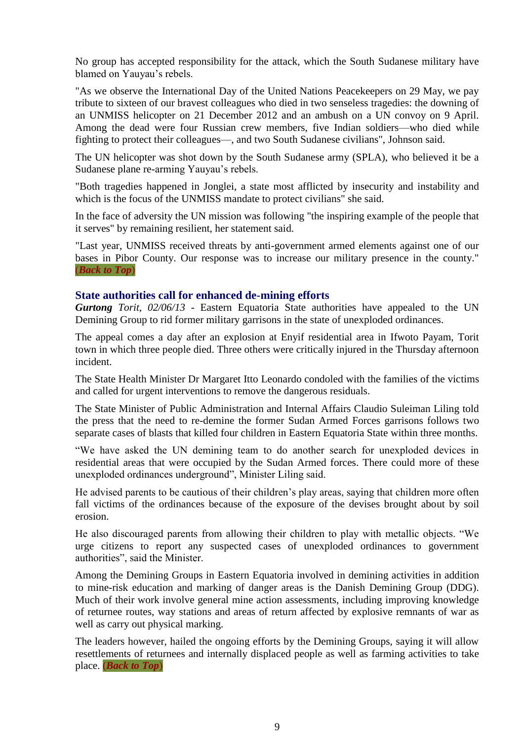No group has accepted responsibility for the attack, which the South Sudanese military have blamed on Yauyau's rebels.

"As we observe the International Day of the United Nations Peacekeepers on 29 May, we pay tribute to sixteen of our bravest colleagues who died in two senseless tragedies: the downing of an UNMISS helicopter on 21 December 2012 and an ambush on a UN convoy on 9 April. Among the dead were four Russian crew members, five Indian soldiers—who died while fighting to protect their colleagues—, and two South Sudanese civilians", Johnson said.

The UN helicopter was shot down by the South Sudanese army (SPLA), who believed it be a Sudanese plane re-arming Yauyau's rebels.

"Both tragedies happened in Jonglei, a state most afflicted by insecurity and instability and which is the focus of the UNMISS mandate to protect civilians" she said.

In the face of adversity the UN mission was following "the inspiring example of the people that it serves" by remaining resilient, her statement said.

"Last year, UNMISS received threats by anti-government armed elements against one of our bases in Pibor County. Our response was to increase our military presence in the county." (*[Back to Top](03-Jun-2013%20-%20Media%20Monitor.doc#_top)*)

#### **State authorities call for enhanced de-mining efforts**

*Gurtong Torit, 02/06/13* - Eastern Equatoria State authorities have appealed to the UN Demining Group to rid former military garrisons in the state of unexploded ordinances.

The appeal comes a day after an explosion at Enyif residential area in Ifwoto Payam, Torit town in which three people died. Three others were critically injured in the Thursday afternoon incident.

The State Health Minister Dr Margaret Itto Leonardo condoled with the families of the victims and called for urgent interventions to remove the dangerous residuals.

The State Minister of Public Administration and Internal Affairs Claudio Suleiman Liling told the press that the need to re-demine the former Sudan Armed Forces garrisons follows two separate cases of blasts that killed four children in Eastern Equatoria State within three months.

"We have asked the UN demining team to do another search for unexploded devices in residential areas that were occupied by the Sudan Armed forces. There could more of these unexploded ordinances underground", Minister Liling said.

He advised parents to be cautious of their children's play areas, saying that children more often fall victims of the ordinances because of the exposure of the devises brought about by soil erosion.

He also discouraged parents from allowing their children to play with metallic objects. "We urge citizens to report any suspected cases of unexploded ordinances to government authorities", said the Minister.

Among the Demining Groups in Eastern Equatoria involved in demining activities in addition to mine-risk education and marking of danger areas is the Danish Demining Group (DDG). Much of their work involve general mine action assessments, including improving knowledge of returnee routes, way stations and areas of return affected by explosive remnants of war as well as carry out physical marking.

The leaders however, hailed the ongoing efforts by the Demining Groups, saying it will allow resettlements of returnees and internally displaced people as well as farming activities to take place. (*[Back to Top](#page-0-0)*)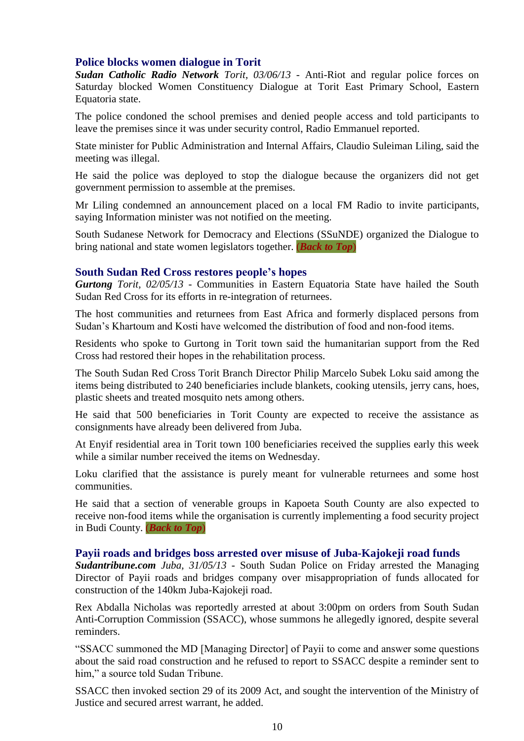#### <span id="page-9-0"></span>**Police blocks women dialogue in Torit**

*Sudan Catholic Radio Network Torit, 03/06/13* - Anti-Riot and regular police forces on Saturday blocked Women Constituency Dialogue at Torit East Primary School, Eastern Equatoria state.

The police condoned the school premises and denied people access and told participants to leave the premises since it was under security control, Radio Emmanuel reported.

State minister for Public Administration and Internal Affairs, Claudio Suleiman Liling, said the meeting was illegal.

He said the police was deployed to stop the dialogue because the organizers did not get government permission to assemble at the premises.

Mr Liling condemned an announcement placed on a local FM Radio to invite participants, saying Information minister was not notified on the meeting.

South Sudanese Network for Democracy and Elections (SSuNDE) organized the Dialogue to bring national and state women legislators together. (*[Back to Top](03-Jun-2013%20-%20Media%20Monitor.doc#_top)*)

#### **South Sudan Red Cross restores people's hopes**

*Gurtong Torit, 02/05/13* - Communities in Eastern Equatoria State have hailed the South Sudan Red Cross for its efforts in re-integration of returnees.

The host communities and returnees from East Africa and formerly displaced persons from Sudan's Khartoum and Kosti have welcomed the distribution of food and non-food items.

Residents who spoke to Gurtong in Torit town said the humanitarian support from the Red Cross had restored their hopes in the rehabilitation process.

The South Sudan Red Cross Torit Branch Director Philip Marcelo Subek Loku said among the items being distributed to 240 beneficiaries include blankets, cooking utensils, jerry cans, hoes, plastic sheets and treated mosquito nets among others.

He said that 500 beneficiaries in Torit County are expected to receive the assistance as consignments have already been delivered from Juba.

At Enyif residential area in Torit town 100 beneficiaries received the supplies early this week while a similar number received the items on Wednesday.

Loku clarified that the assistance is purely meant for vulnerable returnees and some host communities.

He said that a section of venerable groups in Kapoeta South County are also expected to receive non-food items while the organisation is currently implementing a food security project in Budi County. (*[Back to Top](#page-0-0)*)

#### <span id="page-9-1"></span>**Payii roads and bridges boss arrested over misuse of Juba-Kajokeji road funds**

*Sudantribune.com Juba, 31/05/13* - South Sudan Police on Friday arrested the Managing Director of Payii roads and bridges company over misappropriation of funds allocated for construction of the 140km Juba-Kajokeji road.

Rex Abdalla Nicholas was reportedly arrested at about 3:00pm on orders from South Sudan Anti-Corruption Commission (SSACC), whose summons he allegedly ignored, despite several reminders.

"SSACC summoned the MD [Managing Director] of Payii to come and answer some questions about the said road construction and he refused to report to SSACC despite a reminder sent to him," a source told Sudan Tribune.

SSACC then invoked section 29 of its 2009 Act, and sought the intervention of the Ministry of Justice and secured arrest warrant, he added.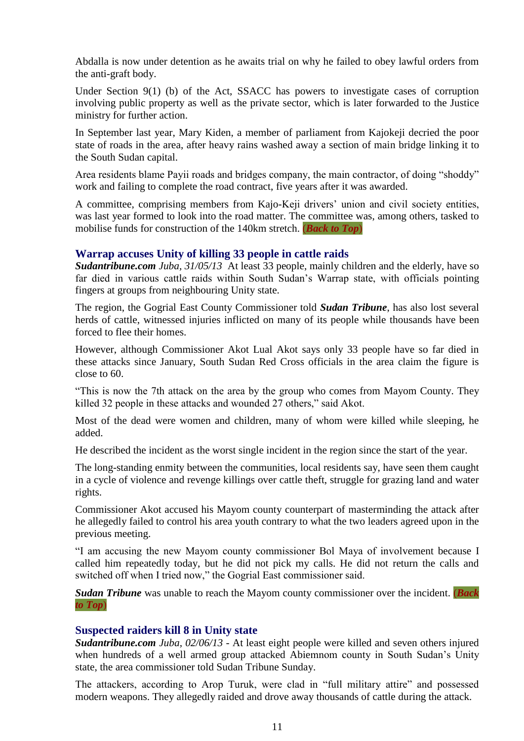Abdalla is now under detention as he awaits trial on why he failed to obey lawful orders from the anti-graft body.

Under Section 9(1) (b) of the Act, SSACC has powers to investigate cases of corruption involving public property as well as the private sector, which is later forwarded to the Justice ministry for further action.

In September last year, Mary Kiden, a member of parliament from Kajokeji decried the poor state of roads in the area, after heavy rains washed away a section of main bridge linking it to the South Sudan capital.

Area residents blame Payii roads and bridges company, the main contractor, of doing "shoddy" work and failing to complete the road contract, five years after it was awarded.

A committee, comprising members from Kajo-Keji drivers' union and civil society entities, was last year formed to look into the road matter. The committee was, among others, tasked to mobilise funds for construction of the 140km stretch. (*[Back to Top](03-Jun-2013%20-%20Media%20Monitor.doc#_top)*)

#### **Warrap accuses Unity of killing 33 people in cattle raids**

*Sudantribune.com Juba, 31/05/13* At least 33 people, mainly children and the elderly, have so far died in various cattle raids within South Sudan's Warrap state, with officials pointing fingers at groups from neighbouring Unity state.

The region, the Gogrial East County Commissioner told *Sudan Tribune*, has also lost several herds of cattle, witnessed injuries inflicted on many of its people while thousands have been forced to flee their homes.

However, although Commissioner Akot Lual Akot says only 33 people have so far died in these attacks since January, South Sudan Red Cross officials in the area claim the figure is close to 60.

"This is now the 7th attack on the area by the group who comes from Mayom County. They killed 32 people in these attacks and wounded 27 others," said Akot.

Most of the dead were women and children, many of whom were killed while sleeping, he added.

He described the incident as the worst single incident in the region since the start of the year.

The long-standing enmity between the communities, local residents say, have seen them caught in a cycle of violence and revenge killings over cattle theft, struggle for grazing land and water rights.

Commissioner Akot accused his Mayom county counterpart of masterminding the attack after he allegedly failed to control his area youth contrary to what the two leaders agreed upon in the previous meeting.

"I am accusing the new Mayom county commissioner Bol Maya of involvement because I called him repeatedly today, but he did not pick my calls. He did not return the calls and switched off when I tried now," the Gogrial East commissioner said.

*Sudan Tribune* was unable to reach the Mayom county commissioner over the incident. (*[Back](03-Jun-2013%20-%20Media%20Monitor.doc#_top)  [to Top](03-Jun-2013%20-%20Media%20Monitor.doc#_top)*)

#### <span id="page-10-0"></span>**Suspected raiders kill 8 in Unity state**

*Sudantribune.com Juba, 02/06/13* - At least eight people were killed and seven others injured when hundreds of a well armed group attacked Abiemnom county in South Sudan's Unity state, the area commissioner told Sudan Tribune Sunday.

The attackers, according to Arop Turuk, were clad in "full military attire" and possessed modern weapons. They allegedly raided and drove away thousands of cattle during the attack.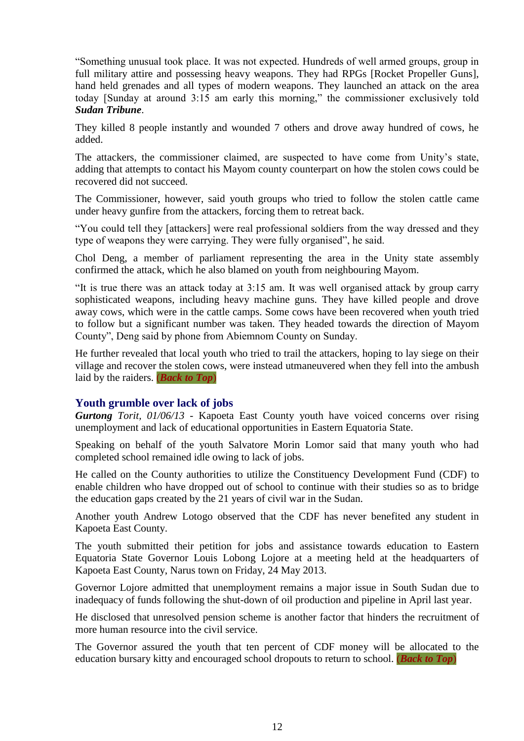"Something unusual took place. It was not expected. Hundreds of well armed groups, group in full military attire and possessing heavy weapons. They had RPGs [Rocket Propeller Guns], hand held grenades and all types of modern weapons. They launched an attack on the area today [Sunday at around 3:15 am early this morning," the commissioner exclusively told *Sudan Tribune*.

They killed 8 people instantly and wounded 7 others and drove away hundred of cows, he added.

The attackers, the commissioner claimed, are suspected to have come from Unity's state, adding that attempts to contact his Mayom county counterpart on how the stolen cows could be recovered did not succeed.

The Commissioner, however, said youth groups who tried to follow the stolen cattle came under heavy gunfire from the attackers, forcing them to retreat back.

"You could tell they [attackers] were real professional soldiers from the way dressed and they type of weapons they were carrying. They were fully organised", he said.

Chol Deng, a member of parliament representing the area in the Unity state assembly confirmed the attack, which he also blamed on youth from neighbouring Mayom.

"It is true there was an attack today at 3:15 am. It was well organised attack by group carry sophisticated weapons, including heavy machine guns. They have killed people and drove away cows, which were in the cattle camps. Some cows have been recovered when youth tried to follow but a significant number was taken. They headed towards the direction of Mayom County", Deng said by phone from Abiemnom County on Sunday.

He further revealed that local youth who tried to trail the attackers, hoping to lay siege on their village and recover the stolen cows, were instead utmaneuvered when they fell into the ambush laid by the raiders. (*[Back to Top](03-Jun-2013%20-%20Media%20Monitor.doc#_top)*)

#### **Youth grumble over lack of jobs**

*Gurtong Torit, 01/06/13* - Kapoeta East County youth have voiced concerns over rising unemployment and lack of educational opportunities in Eastern Equatoria State.

Speaking on behalf of the youth Salvatore Morin Lomor said that many youth who had completed school remained idle owing to lack of jobs.

He called on the County authorities to utilize the Constituency Development Fund (CDF) to enable children who have dropped out of school to continue with their studies so as to bridge the education gaps created by the 21 years of civil war in the Sudan.

Another youth Andrew Lotogo observed that the CDF has never benefited any student in Kapoeta East County.

The youth submitted their petition for jobs and assistance towards education to Eastern Equatoria State Governor Louis Lobong Lojore at a meeting held at the headquarters of Kapoeta East County, Narus town on Friday, 24 May 2013.

Governor Lojore admitted that unemployment remains a major issue in South Sudan due to inadequacy of funds following the shut-down of oil production and pipeline in April last year.

He disclosed that unresolved pension scheme is another factor that hinders the recruitment of more human resource into the civil service.

The Governor assured the youth that ten percent of CDF money will be allocated to the education bursary kitty and encouraged school dropouts to return to school. (*[Back to Top](03-Jun-2013%20-%20Media%20Monitor.doc#_top)*)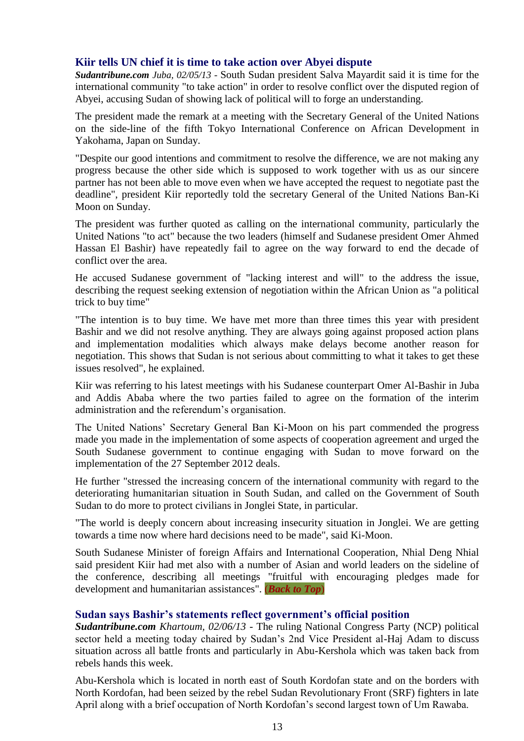#### <span id="page-12-0"></span>**Kiir tells UN chief it is time to take action over Abyei dispute**

*Sudantribune.com Juba, 02/05/13* - South Sudan president Salva Mayardit said it is time for the international community "to take action" in order to resolve conflict over the disputed region of Abyei, accusing Sudan of showing lack of political will to forge an understanding.

The president made the remark at a meeting with the Secretary General of the United Nations on the side-line of the fifth Tokyo International Conference on African Development in Yakohama, Japan on Sunday.

"Despite our good intentions and commitment to resolve the difference, we are not making any progress because the other side which is supposed to work together with us as our sincere partner has not been able to move even when we have accepted the request to negotiate past the deadline", president Kiir reportedly told the secretary General of the United Nations Ban-Ki Moon on Sunday.

The president was further quoted as calling on the international community, particularly the United Nations "to act" because the two leaders (himself and Sudanese president Omer Ahmed Hassan El Bashir) have repeatedly fail to agree on the way forward to end the decade of conflict over the area.

He accused Sudanese government of "lacking interest and will" to the address the issue, describing the request seeking extension of negotiation within the African Union as "a political trick to buy time"

"The intention is to buy time. We have met more than three times this year with president Bashir and we did not resolve anything. They are always going against proposed action plans and implementation modalities which always make delays become another reason for negotiation. This shows that Sudan is not serious about committing to what it takes to get these issues resolved", he explained.

Kiir was referring to his latest meetings with his Sudanese counterpart Omer Al-Bashir in Juba and Addis Ababa where the two parties failed to agree on the formation of the interim administration and the referendum's organisation.

The United Nations' Secretary General Ban Ki-Moon on his part commended the progress made you made in the implementation of some aspects of cooperation agreement and urged the South Sudanese government to continue engaging with Sudan to move forward on the implementation of the 27 September 2012 deals.

He further "stressed the increasing concern of the international community with regard to the deteriorating humanitarian situation in South Sudan, and called on the Government of South Sudan to do more to protect civilians in Jonglei State, in particular.

"The world is deeply concern about increasing insecurity situation in Jonglei. We are getting towards a time now where hard decisions need to be made", said Ki-Moon.

South Sudanese Minister of foreign Affairs and International Cooperation, Nhial Deng Nhial said president Kiir had met also with a number of Asian and world leaders on the sideline of the conference, describing all meetings "fruitful with encouraging pledges made for development and humanitarian assistances". (*[Back to Top](03-Jun-2013%20-%20Media%20Monitor.doc#_top)*)

#### <span id="page-12-1"></span>**Sudan says Bashir's statements reflect government's official position**

*Sudantribune.com Khartoum, 02/06/13* - The ruling National Congress Party (NCP) political sector held a meeting today chaired by Sudan's 2nd Vice President al-Haj Adam to discuss situation across all battle fronts and particularly in Abu-Kershola which was taken back from rebels hands this week.

Abu-Kershola which is located in north east of South Kordofan state and on the borders with North Kordofan, had been seized by the rebel Sudan Revolutionary Front (SRF) fighters in late April along with a brief occupation of North Kordofan's second largest town of Um Rawaba.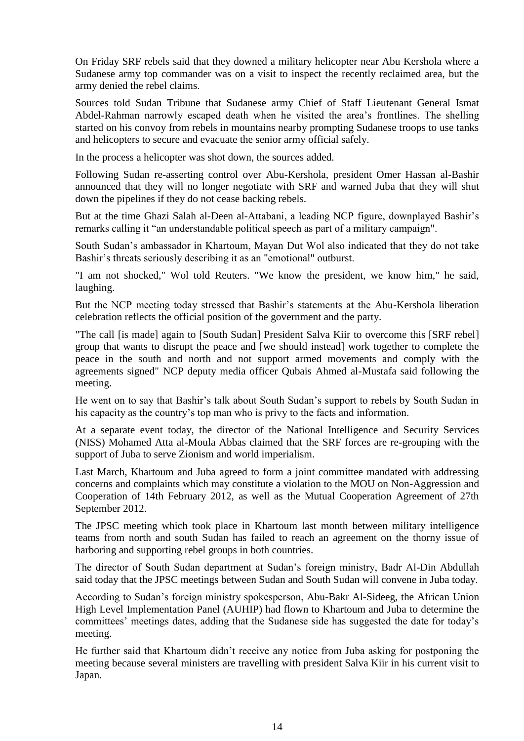On Friday SRF rebels said that they downed a military helicopter near Abu Kershola where a Sudanese army top commander was on a visit to inspect the recently reclaimed area, but the army denied the rebel claims.

Sources told Sudan Tribune that Sudanese army Chief of Staff Lieutenant General Ismat Abdel-Rahman narrowly escaped death when he visited the area's frontlines. The shelling started on his convoy from rebels in mountains nearby prompting Sudanese troops to use tanks and helicopters to secure and evacuate the senior army official safely.

In the process a helicopter was shot down, the sources added.

Following Sudan re-asserting control over Abu-Kershola, president Omer Hassan al-Bashir announced that they will no longer negotiate with SRF and warned Juba that they will shut down the pipelines if they do not cease backing rebels.

But at the time Ghazi Salah al-Deen al-Attabani, a leading NCP figure, downplayed Bashir's remarks calling it "an understandable political speech as part of a military campaign".

South Sudan's ambassador in Khartoum, Mayan Dut Wol also indicated that they do not take Bashir's threats seriously describing it as an "emotional" outburst.

"I am not shocked," Wol told Reuters. "We know the president, we know him," he said, laughing.

But the NCP meeting today stressed that Bashir's statements at the Abu-Kershola liberation celebration reflects the official position of the government and the party.

"The call [is made] again to [South Sudan] President Salva Kiir to overcome this [SRF rebel] group that wants to disrupt the peace and [we should instead] work together to complete the peace in the south and north and not support armed movements and comply with the agreements signed" NCP deputy media officer Qubais Ahmed al-Mustafa said following the meeting.

He went on to say that Bashir's talk about South Sudan's support to rebels by South Sudan in his capacity as the country's top man who is privy to the facts and information.

At a separate event today, the director of the National Intelligence and Security Services (NISS) Mohamed Atta al-Moula Abbas claimed that the SRF forces are re-grouping with the support of Juba to serve Zionism and world imperialism.

Last March, Khartoum and Juba agreed to form a joint committee mandated with addressing concerns and complaints which may constitute a violation to the MOU on Non-Aggression and Cooperation of 14th February 2012, as well as the Mutual Cooperation Agreement of 27th September 2012.

The JPSC meeting which took place in Khartoum last month between military intelligence teams from north and south Sudan has failed to reach an agreement on the thorny issue of harboring and supporting rebel groups in both countries.

The director of South Sudan department at Sudan's foreign ministry, Badr Al-Din Abdullah said today that the JPSC meetings between Sudan and South Sudan will convene in Juba today.

According to Sudan's foreign ministry spokesperson, Abu-Bakr Al-Sideeg, the African Union High Level Implementation Panel (AUHIP) had flown to Khartoum and Juba to determine the committees' meetings dates, adding that the Sudanese side has suggested the date for today's meeting.

He further said that Khartoum didn't receive any notice from Juba asking for postponing the meeting because several ministers are travelling with president Salva Kiir in his current visit to Japan.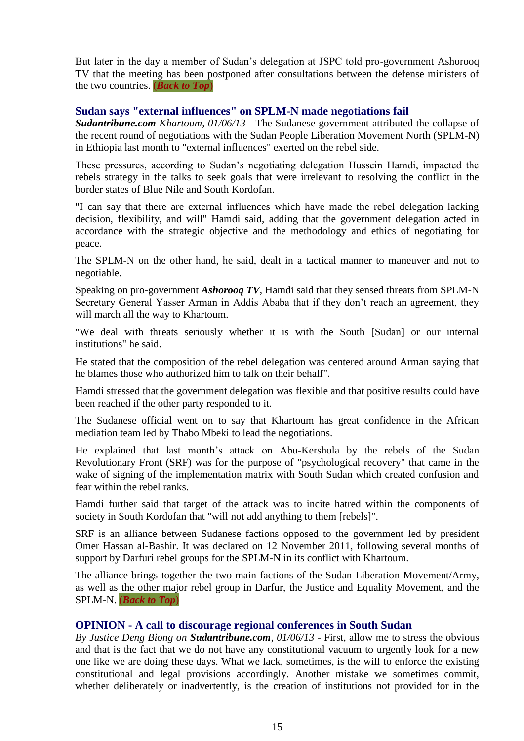But later in the day a member of Sudan's delegation at JSPC told pro-government Ashorooq TV that the meeting has been postponed after consultations between the defense ministers of the two countries. (*[Back to Top](03-Jun-2013%20-%20Media%20Monitor.doc#_top)*)

#### <span id="page-14-0"></span>**Sudan says "external influences" on SPLM-N made negotiations fail**

*Sudantribune.com Khartoum, 01/06/13* - The Sudanese government attributed the collapse of the recent round of negotiations with the Sudan People Liberation Movement North (SPLM-N) in Ethiopia last month to "external influences" exerted on the rebel side.

These pressures, according to Sudan's negotiating delegation Hussein Hamdi, impacted the rebels strategy in the talks to seek goals that were irrelevant to resolving the conflict in the border states of Blue Nile and South Kordofan.

"I can say that there are external influences which have made the rebel delegation lacking decision, flexibility, and will" Hamdi said, adding that the government delegation acted in accordance with the strategic objective and the methodology and ethics of negotiating for peace.

The SPLM-N on the other hand, he said, dealt in a tactical manner to maneuver and not to negotiable.

Speaking on pro-government *Ashorooq TV*, Hamdi said that they sensed threats from SPLM-N Secretary General Yasser Arman in Addis Ababa that if they don't reach an agreement, they will march all the way to Khartoum.

"We deal with threats seriously whether it is with the South [Sudan] or our internal institutions" he said.

He stated that the composition of the rebel delegation was centered around Arman saying that he blames those who authorized him to talk on their behalf".

Hamdi stressed that the government delegation was flexible and that positive results could have been reached if the other party responded to it.

The Sudanese official went on to say that Khartoum has great confidence in the African mediation team led by Thabo Mbeki to lead the negotiations.

He explained that last month's attack on Abu-Kershola by the rebels of the Sudan Revolutionary Front (SRF) was for the purpose of "psychological recovery" that came in the wake of signing of the implementation matrix with South Sudan which created confusion and fear within the rebel ranks.

Hamdi further said that target of the attack was to incite hatred within the components of society in South Kordofan that "will not add anything to them [rebels]".

SRF is an alliance between Sudanese factions opposed to the government led by president Omer Hassan al-Bashir. It was declared on 12 November 2011, following several months of support by Darfuri rebel groups for the SPLM-N in its conflict with Khartoum.

The alliance brings together the two main factions of the Sudan Liberation Movement/Army, as well as the other major rebel group in Darfur, the Justice and Equality Movement, and the SPLM-N. (*[Back to Top](03-Jun-2013%20-%20Media%20Monitor.doc#_top)*)

#### <span id="page-14-1"></span>**OPINION - A call to discourage regional conferences in South Sudan**

*By Justice Deng Biong on Sudantribune.com, 01/06/13* - First, allow me to stress the obvious and that is the fact that we do not have any constitutional vacuum to urgently look for a new one like we are doing these days. What we lack, sometimes, is the will to enforce the existing constitutional and legal provisions accordingly. Another mistake we sometimes commit, whether deliberately or inadvertently, is the creation of institutions not provided for in the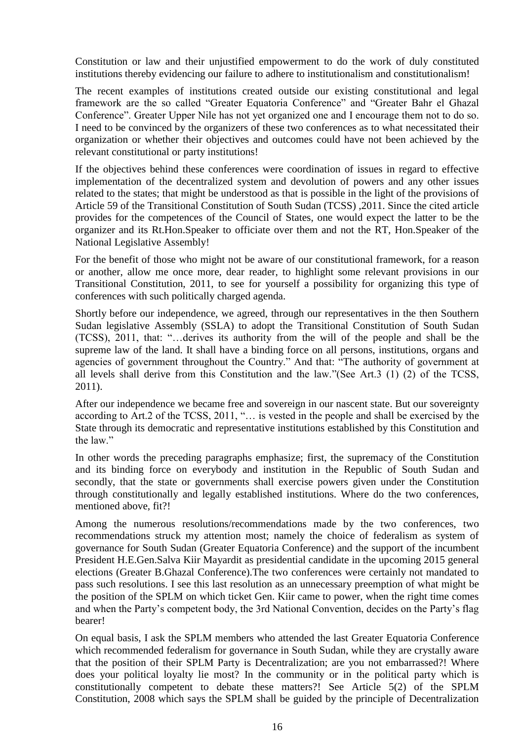Constitution or law and their unjustified empowerment to do the work of duly constituted institutions thereby evidencing our failure to adhere to institutionalism and constitutionalism!

The recent examples of institutions created outside our existing constitutional and legal framework are the so called "Greater Equatoria Conference" and "Greater Bahr el Ghazal Conference". Greater Upper Nile has not yet organized one and I encourage them not to do so. I need to be convinced by the organizers of these two conferences as to what necessitated their organization or whether their objectives and outcomes could have not been achieved by the relevant constitutional or party institutions!

If the objectives behind these conferences were coordination of issues in regard to effective implementation of the decentralized system and devolution of powers and any other issues related to the states; that might be understood as that is possible in the light of the provisions of Article 59 of the Transitional Constitution of South Sudan (TCSS) ,2011. Since the cited article provides for the competences of the Council of States, one would expect the latter to be the organizer and its Rt.Hon.Speaker to officiate over them and not the RT, Hon.Speaker of the National Legislative Assembly!

For the benefit of those who might not be aware of our constitutional framework, for a reason or another, allow me once more, dear reader, to highlight some relevant provisions in our Transitional Constitution, 2011, to see for yourself a possibility for organizing this type of conferences with such politically charged agenda.

Shortly before our independence, we agreed, through our representatives in the then Southern Sudan legislative Assembly (SSLA) to adopt the Transitional Constitution of South Sudan (TCSS), 2011, that: "…derives its authority from the will of the people and shall be the supreme law of the land. It shall have a binding force on all persons, institutions, organs and agencies of government throughout the Country." And that: "The authority of government at all levels shall derive from this Constitution and the law."(See Art.3 (1) (2) of the TCSS, 2011).

After our independence we became free and sovereign in our nascent state. But our sovereignty according to Art.2 of the TCSS, 2011, "… is vested in the people and shall be exercised by the State through its democratic and representative institutions established by this Constitution and the law"

In other words the preceding paragraphs emphasize; first, the supremacy of the Constitution and its binding force on everybody and institution in the Republic of South Sudan and secondly, that the state or governments shall exercise powers given under the Constitution through constitutionally and legally established institutions. Where do the two conferences, mentioned above, fit?!

Among the numerous resolutions/recommendations made by the two conferences, two recommendations struck my attention most; namely the choice of federalism as system of governance for South Sudan (Greater Equatoria Conference) and the support of the incumbent President H.E.Gen.Salva Kiir Mayardit as presidential candidate in the upcoming 2015 general elections (Greater B.Ghazal Conference).The two conferences were certainly not mandated to pass such resolutions. I see this last resolution as an unnecessary preemption of what might be the position of the SPLM on which ticket Gen. Kiir came to power, when the right time comes and when the Party's competent body, the 3rd National Convention, decides on the Party's flag bearer!

On equal basis, I ask the SPLM members who attended the last Greater Equatoria Conference which recommended federalism for governance in South Sudan, while they are crystally aware that the position of their SPLM Party is Decentralization; are you not embarrassed?! Where does your political loyalty lie most? In the community or in the political party which is constitutionally competent to debate these matters?! See Article 5(2) of the SPLM Constitution, 2008 which says the SPLM shall be guided by the principle of Decentralization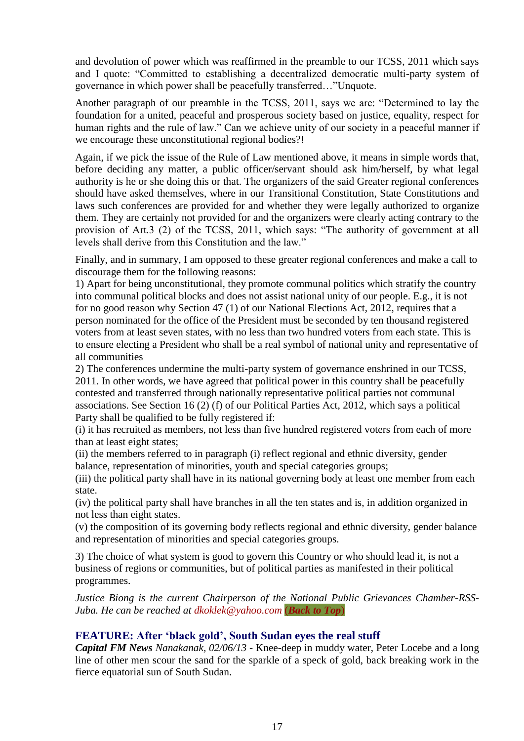and devolution of power which was reaffirmed in the preamble to our TCSS, 2011 which says and I quote: "Committed to establishing a decentralized democratic multi-party system of governance in which power shall be peacefully transferred…"Unquote.

Another paragraph of our preamble in the TCSS, 2011, says we are: "Determined to lay the foundation for a united, peaceful and prosperous society based on justice, equality, respect for human rights and the rule of law." Can we achieve unity of our society in a peaceful manner if we encourage these unconstitutional regional bodies?!

Again, if we pick the issue of the Rule of Law mentioned above, it means in simple words that, before deciding any matter, a public officer/servant should ask him/herself, by what legal authority is he or she doing this or that. The organizers of the said Greater regional conferences should have asked themselves, where in our Transitional Constitution, State Constitutions and laws such conferences are provided for and whether they were legally authorized to organize them. They are certainly not provided for and the organizers were clearly acting contrary to the provision of Art.3 (2) of the TCSS, 2011, which says: "The authority of government at all levels shall derive from this Constitution and the law."

Finally, and in summary, I am opposed to these greater regional conferences and make a call to discourage them for the following reasons:

1) Apart for being unconstitutional, they promote communal politics which stratify the country into communal political blocks and does not assist national unity of our people. E.g., it is not for no good reason why Section 47 (1) of our National Elections Act, 2012, requires that a person nominated for the office of the President must be seconded by ten thousand registered voters from at least seven states, with no less than two hundred voters from each state. This is to ensure electing a President who shall be a real symbol of national unity and representative of all communities

2) The conferences undermine the multi-party system of governance enshrined in our TCSS, 2011. In other words, we have agreed that political power in this country shall be peacefully contested and transferred through nationally representative political parties not communal associations. See Section 16 (2) (f) of our Political Parties Act, 2012, which says a political Party shall be qualified to be fully registered if:

(i) it has recruited as members, not less than five hundred registered voters from each of more than at least eight states;

(ii) the members referred to in paragraph (i) reflect regional and ethnic diversity, gender balance, representation of minorities, youth and special categories groups;

(iii) the political party shall have in its national governing body at least one member from each state.

(iv) the political party shall have branches in all the ten states and is, in addition organized in not less than eight states.

(v) the composition of its governing body reflects regional and ethnic diversity, gender balance and representation of minorities and special categories groups.

3) The choice of what system is good to govern this Country or who should lead it, is not a business of regions or communities, but of political parties as manifested in their political programmes.

*Justice Biong is the current Chairperson of the National Public Grievances Chamber-RSS-Juba. He can be reached at [dkoklek@yahoo.com](mailto:dkoklek@yahoo.com)* (*[Back to Top](03-Jun-2013%20-%20Media%20Monitor.doc#_top)*)

#### **FEATURE: After 'black gold', South Sudan eyes the real stuff**

*Capital FM News Nanakanak, 02/06/13* - Knee-deep in muddy water, Peter Locebe and a long line of other men scour the sand for the sparkle of a speck of gold, back breaking work in the fierce equatorial sun of South Sudan.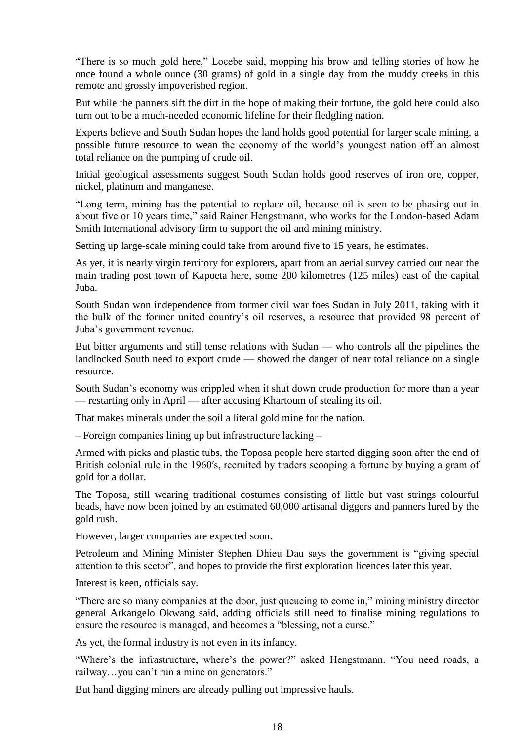"There is so much gold here," Locebe said, mopping his brow and telling stories of how he once found a whole ounce (30 grams) of gold in a single day from the muddy creeks in this remote and grossly impoverished region.

But while the panners sift the dirt in the hope of making their fortune, the gold here could also turn out to be a much-needed economic lifeline for their fledgling nation.

Experts believe and South Sudan hopes the land holds good potential for larger scale mining, a possible future resource to wean the economy of the world's youngest nation off an almost total reliance on the pumping of crude oil.

Initial geological assessments suggest South Sudan holds good reserves of iron ore, copper, nickel, platinum and manganese.

"Long term, mining has the potential to replace oil, because oil is seen to be phasing out in about five or 10 years time," said Rainer Hengstmann, who works for the London-based Adam Smith International advisory firm to support the oil and mining ministry.

Setting up large-scale mining could take from around five to 15 years, he estimates.

As yet, it is nearly virgin territory for explorers, apart from an aerial survey carried out near the main trading post town of Kapoeta here, some 200 kilometres (125 miles) east of the capital Juba.

South Sudan won independence from former civil war foes Sudan in July 2011, taking with it the bulk of the former united country's oil reserves, a resource that provided 98 percent of Juba's government revenue.

But bitter arguments and still tense relations with Sudan — who controls all the pipelines the landlocked South need to export crude — showed the danger of near total reliance on a single resource.

South Sudan's economy was crippled when it shut down crude production for more than a year — restarting only in April — after accusing Khartoum of stealing its oil.

That makes minerals under the soil a literal gold mine for the nation.

– Foreign companies lining up but infrastructure lacking –

Armed with picks and plastic tubs, the Toposa people here started digging soon after the end of British colonial rule in the 1960′s, recruited by traders scooping a fortune by buying a gram of gold for a dollar.

The Toposa, still wearing traditional costumes consisting of little but vast strings colourful beads, have now been joined by an estimated 60,000 artisanal diggers and panners lured by the gold rush.

However, larger companies are expected soon.

Petroleum and Mining Minister Stephen Dhieu Dau says the government is "giving special attention to this sector", and hopes to provide the first exploration licences later this year.

Interest is keen, officials say.

"There are so many companies at the door, just queueing to come in," mining ministry director general Arkangelo Okwang said, adding officials still need to finalise mining regulations to ensure the resource is managed, and becomes a "blessing, not a curse."

As yet, the formal industry is not even in its infancy.

"Where's the infrastructure, where's the power?" asked Hengstmann. "You need roads, a railway…you can't run a mine on generators."

But hand digging miners are already pulling out impressive hauls.